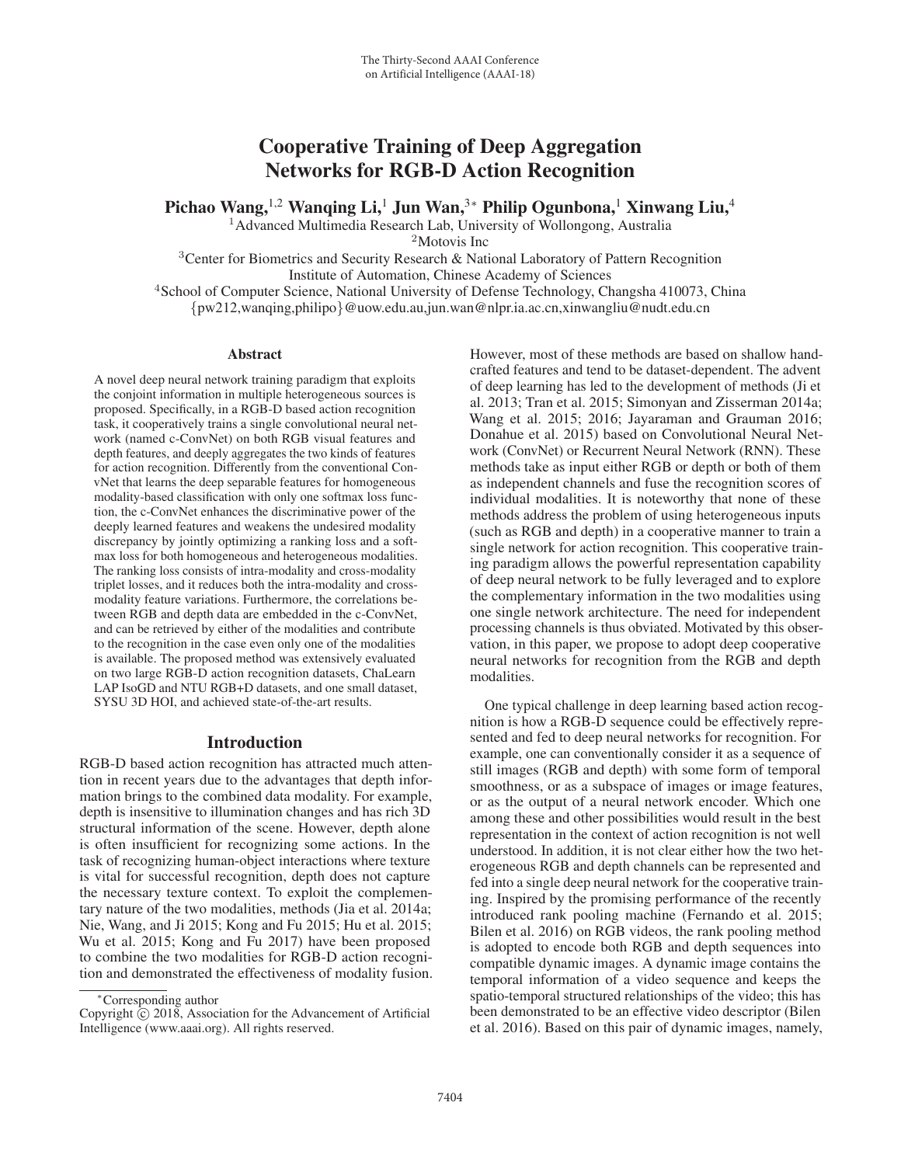# Cooperative Training of Deep Aggregation Networks for RGB-D Action Recognition

Pichao Wang,<sup>1,2</sup> Wanqing Li,<sup>1</sup> Jun Wan,<sup>3</sup>\* Philip Ogunbona,<sup>1</sup> Xinwang Liu,<sup>4</sup>

<sup>1</sup>Advanced Multimedia Research Lab, University of Wollongong, Australia

<sup>2</sup>Motovis Inc

<sup>3</sup>Center for Biometrics and Security Research & National Laboratory of Pattern Recognition Institute of Automation, Chinese Academy of Sciences

<sup>4</sup>School of Computer Science, National University of Defense Technology, Changsha 410073, China {pw212,wanqing,philipo}@uow.edu.au,jun.wan@nlpr.ia.ac.cn,xinwangliu@nudt.edu.cn

#### Abstract

A novel deep neural network training paradigm that exploits the conjoint information in multiple heterogeneous sources is proposed. Specifically, in a RGB-D based action recognition task, it cooperatively trains a single convolutional neural network (named c-ConvNet) on both RGB visual features and depth features, and deeply aggregates the two kinds of features for action recognition. Differently from the conventional ConvNet that learns the deep separable features for homogeneous modality-based classification with only one softmax loss function, the c-ConvNet enhances the discriminative power of the deeply learned features and weakens the undesired modality discrepancy by jointly optimizing a ranking loss and a softmax loss for both homogeneous and heterogeneous modalities. The ranking loss consists of intra-modality and cross-modality triplet losses, and it reduces both the intra-modality and crossmodality feature variations. Furthermore, the correlations between RGB and depth data are embedded in the c-ConvNet, and can be retrieved by either of the modalities and contribute to the recognition in the case even only one of the modalities is available. The proposed method was extensively evaluated on two large RGB-D action recognition datasets, ChaLearn LAP IsoGD and NTU RGB+D datasets, and one small dataset, SYSU 3D HOI, and achieved state-of-the-art results.

### Introduction

RGB-D based action recognition has attracted much attention in recent years due to the advantages that depth information brings to the combined data modality. For example, depth is insensitive to illumination changes and has rich 3D structural information of the scene. However, depth alone is often insufficient for recognizing some actions. In the task of recognizing human-object interactions where texture is vital for successful recognition, depth does not capture the necessary texture context. To exploit the complementary nature of the two modalities, methods (Jia et al. 2014a; Nie, Wang, and Ji 2015; Kong and Fu 2015; Hu et al. 2015; Wu et al. 2015; Kong and Fu 2017) have been proposed to combine the two modalities for RGB-D action recognition and demonstrated the effectiveness of modality fusion.

However, most of these methods are based on shallow handcrafted features and tend to be dataset-dependent. The advent of deep learning has led to the development of methods (Ji et al. 2013; Tran et al. 2015; Simonyan and Zisserman 2014a; Wang et al. 2015; 2016; Jayaraman and Grauman 2016; Donahue et al. 2015) based on Convolutional Neural Network (ConvNet) or Recurrent Neural Network (RNN). These methods take as input either RGB or depth or both of them as independent channels and fuse the recognition scores of individual modalities. It is noteworthy that none of these methods address the problem of using heterogeneous inputs (such as RGB and depth) in a cooperative manner to train a single network for action recognition. This cooperative training paradigm allows the powerful representation capability of deep neural network to be fully leveraged and to explore the complementary information in the two modalities using one single network architecture. The need for independent processing channels is thus obviated. Motivated by this observation, in this paper, we propose to adopt deep cooperative neural networks for recognition from the RGB and depth modalities.

One typical challenge in deep learning based action recognition is how a RGB-D sequence could be effectively represented and fed to deep neural networks for recognition. For example, one can conventionally consider it as a sequence of still images (RGB and depth) with some form of temporal smoothness, or as a subspace of images or image features, or as the output of a neural network encoder. Which one among these and other possibilities would result in the best representation in the context of action recognition is not well understood. In addition, it is not clear either how the two heterogeneous RGB and depth channels can be represented and fed into a single deep neural network for the cooperative training. Inspired by the promising performance of the recently introduced rank pooling machine (Fernando et al. 2015; Bilen et al. 2016) on RGB videos, the rank pooling method is adopted to encode both RGB and depth sequences into compatible dynamic images. A dynamic image contains the temporal information of a video sequence and keeps the spatio-temporal structured relationships of the video; this has been demonstrated to be an effective video descriptor (Bilen et al. 2016). Based on this pair of dynamic images, namely,

<sup>∗</sup>Corresponding author

Copyright  $\odot$  2018, Association for the Advancement of Artificial Intelligence (www.aaai.org). All rights reserved.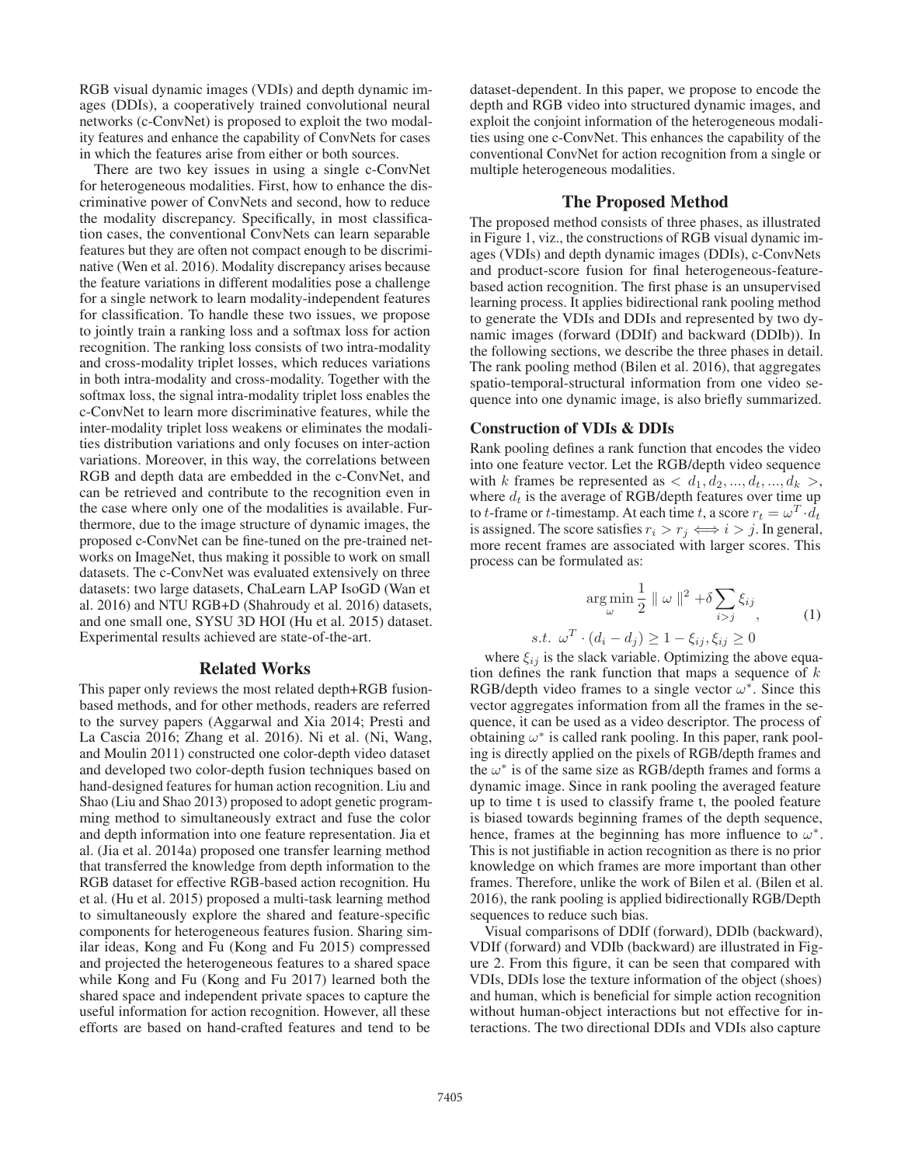RGB visual dynamic images (VDIs) and depth dynamic images (DDIs), a cooperatively trained convolutional neural networks (c-ConvNet) is proposed to exploit the two modality features and enhance the capability of ConvNets for cases in which the features arise from either or both sources.

There are two key issues in using a single c-ConvNet for heterogeneous modalities. First, how to enhance the discriminative power of ConvNets and second, how to reduce the modality discrepancy. Specifically, in most classification cases, the conventional ConvNets can learn separable features but they are often not compact enough to be discriminative (Wen et al. 2016). Modality discrepancy arises because the feature variations in different modalities pose a challenge for a single network to learn modality-independent features for classification. To handle these two issues, we propose to jointly train a ranking loss and a softmax loss for action recognition. The ranking loss consists of two intra-modality and cross-modality triplet losses, which reduces variations in both intra-modality and cross-modality. Together with the softmax loss, the signal intra-modality triplet loss enables the c-ConvNet to learn more discriminative features, while the inter-modality triplet loss weakens or eliminates the modalities distribution variations and only focuses on inter-action variations. Moreover, in this way, the correlations between RGB and depth data are embedded in the c-ConvNet, and can be retrieved and contribute to the recognition even in the case where only one of the modalities is available. Furthermore, due to the image structure of dynamic images, the proposed c-ConvNet can be fine-tuned on the pre-trained networks on ImageNet, thus making it possible to work on small datasets. The c-ConvNet was evaluated extensively on three datasets: two large datasets, ChaLearn LAP IsoGD (Wan et al. 2016) and NTU RGB+D (Shahroudy et al. 2016) datasets, and one small one, SYSU 3D HOI (Hu et al. 2015) dataset. Experimental results achieved are state-of-the-art.

#### Related Works

This paper only reviews the most related depth+RGB fusionbased methods, and for other methods, readers are referred to the survey papers (Aggarwal and Xia 2014; Presti and La Cascia 2016; Zhang et al. 2016). Ni et al. (Ni, Wang, and Moulin 2011) constructed one color-depth video dataset and developed two color-depth fusion techniques based on hand-designed features for human action recognition. Liu and Shao (Liu and Shao 2013) proposed to adopt genetic programming method to simultaneously extract and fuse the color and depth information into one feature representation. Jia et al. (Jia et al. 2014a) proposed one transfer learning method that transferred the knowledge from depth information to the RGB dataset for effective RGB-based action recognition. Hu et al. (Hu et al. 2015) proposed a multi-task learning method to simultaneously explore the shared and feature-specific components for heterogeneous features fusion. Sharing similar ideas, Kong and Fu (Kong and Fu 2015) compressed and projected the heterogeneous features to a shared space while Kong and Fu (Kong and Fu 2017) learned both the shared space and independent private spaces to capture the useful information for action recognition. However, all these efforts are based on hand-crafted features and tend to be

dataset-dependent. In this paper, we propose to encode the depth and RGB video into structured dynamic images, and exploit the conjoint information of the heterogeneous modalities using one c-ConvNet. This enhances the capability of the conventional ConvNet for action recognition from a single or multiple heterogeneous modalities.

#### The Proposed Method

The proposed method consists of three phases, as illustrated in Figure 1, viz., the constructions of RGB visual dynamic images (VDIs) and depth dynamic images (DDIs), c-ConvNets and product-score fusion for final heterogeneous-featurebased action recognition. The first phase is an unsupervised learning process. It applies bidirectional rank pooling method to generate the VDIs and DDIs and represented by two dynamic images (forward (DDIf) and backward (DDIb)). In the following sections, we describe the three phases in detail. The rank pooling method (Bilen et al. 2016), that aggregates spatio-temporal-structural information from one video sequence into one dynamic image, is also briefly summarized.

### Construction of VDIs & DDIs

Rank pooling defines a rank function that encodes the video into one feature vector. Let the RGB/depth video sequence with k frames be represented as  $\langle d_1, d_2, ..., d_t, ..., d_k \rangle$ , where  $d_t$  is the average of RGB/depth features over time up to t-frame or t-timestamp. At each time t, a score  $r_t = \omega^T \cdot d_t$ is assigned. The score satisfies  $r_i > r_j \Longleftrightarrow i > j$ . In general, more recent frames are associated with larger scores. This process can be formulated as:

$$
\argmin_{\omega} \frac{1}{2} \parallel \omega \parallel^{2} + \delta \sum_{i > j} \xi_{ij}, \tag{1}
$$

s.t.  $\omega^T \cdot (d_i - d_j) \geq 1 - \xi_{ij}, \xi_{ij} \geq 0$ 

where  $\xi_{ij}$  is the slack variable. Optimizing the above equation defines the rank function that maps a sequence of  $k$ RGB/depth video frames to a single vector  $\omega^*$ . Since this vector aggregates information from all the frames in the sequence, it can be used as a video descriptor. The process of obtaining  $\omega^*$  is called rank pooling. In this paper, rank pooling is directly applied on the pixels of RGB/depth frames and the  $\omega^*$  is of the same size as RGB/depth frames and forms a dynamic image. Since in rank pooling the averaged feature up to time t is used to classify frame t, the pooled feature is biased towards beginning frames of the depth sequence, hence, frames at the beginning has more influence to  $\omega^*$ . This is not justifiable in action recognition as there is no prior knowledge on which frames are more important than other frames. Therefore, unlike the work of Bilen et al. (Bilen et al. 2016), the rank pooling is applied bidirectionally RGB/Depth sequences to reduce such bias.

Visual comparisons of DDIf (forward), DDIb (backward), VDIf (forward) and VDIb (backward) are illustrated in Figure 2. From this figure, it can be seen that compared with VDIs, DDIs lose the texture information of the object (shoes) and human, which is beneficial for simple action recognition without human-object interactions but not effective for interactions. The two directional DDIs and VDIs also capture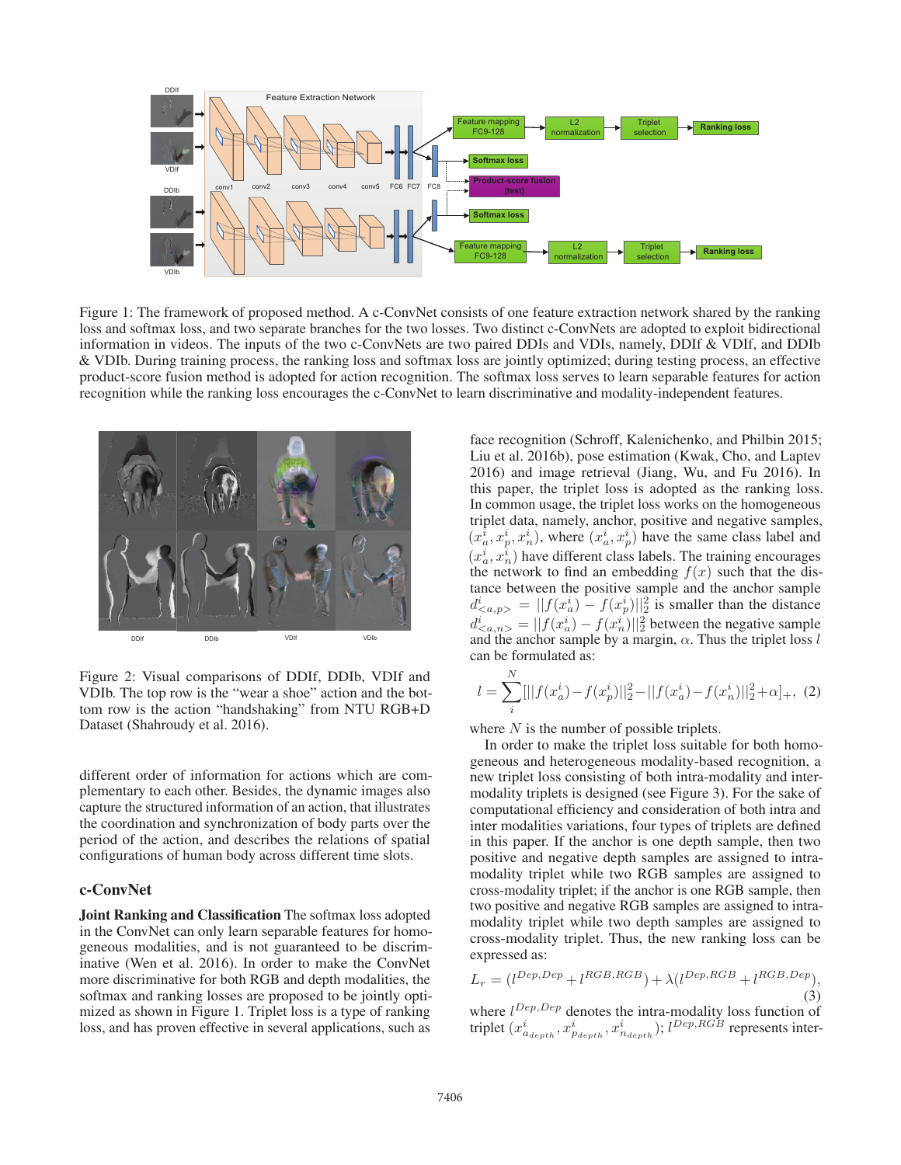

Figure 1: The framework of proposed method. A c-ConvNet consists of one feature extraction network shared by the ranking loss and softmax loss, and two separate branches for the two losses. Two distinct c-ConvNets are adopted to exploit bidirectional information in videos. The inputs of the two c-ConvNets are two paired DDIs and VDIs, namely, DDIf & VDIf, and DDIb & VDIb. During training process, the ranking loss and softmax loss are jointly optimized; during testing process, an effective product-score fusion method is adopted for action recognition. The softmax loss serves to learn separable features for action recognition while the ranking loss encourages the c-ConvNet to learn discriminative and modality-independent features.



Figure 2: Visual comparisons of DDIf, DDIb, VDIf and VDIb. The top row is the "wear a shoe" action and the bottom row is the action "handshaking" from NTU RGB+D Dataset (Shahroudy et al. 2016).

different order of information for actions which are complementary to each other. Besides, the dynamic images also capture the structured information of an action, that illustrates the coordination and synchronization of body parts over the period of the action, and describes the relations of spatial configurations of human body across different time slots.

## c-ConvNet

Joint Ranking and Classification The softmax loss adopted in the ConvNet can only learn separable features for homogeneous modalities, and is not guaranteed to be discriminative (Wen et al. 2016). In order to make the ConvNet more discriminative for both RGB and depth modalities, the softmax and ranking losses are proposed to be jointly optimized as shown in Figure 1. Triplet loss is a type of ranking loss, and has proven effective in several applications, such as

face recognition (Schroff, Kalenichenko, and Philbin 2015; Liu et al. 2016b), pose estimation (Kwak, Cho, and Laptev 2016) and image retrieval (Jiang, Wu, and Fu 2016). In this paper, the triplet loss is adopted as the ranking loss. In common usage, the triplet loss works on the homogeneous triplet data, namely, anchor, positive and negative samples,  $(x_a^i, x_p^i, x_n^i)$ , where  $(x_a^i, x_p^i)$  have the same class label and  $(x_a^i, x_a^i)$  have different close labels. The training encourages  $(x_a^i, x_n^i)$  have different class labels. The training encourages<br>the network to find an embedding  $f(x)$  such that the disthe network to find an embedding  $f(x)$  such that the distance between the positive sample and the anchor sample  $d^i_{\langle a,p\rangle} = ||f(x^i_a) - f(x^i_p)||_2^2$  is smaller than the distance  $d_{\alpha,n>}^{i} = ||f(x_0^i) - f(x_n^i)||_2^2$  between the negative sample<br>and the anchor sample by a margin  $\alpha$ . Thus the triplet loss l and the anchor sample by a margin,  $\alpha$ . Thus the triplet loss l can be formulated as:

$$
l = \sum_{i}^{N} [||f(x_a^i) - f(x_p^i)||_2^2 - ||f(x_a^i) - f(x_n^i)||_2^2 + \alpha]_+, (2)
$$

where  $N$  is the number of possible triplets.

In order to make the triplet loss suitable for both homogeneous and heterogeneous modality-based recognition, a new triplet loss consisting of both intra-modality and intermodality triplets is designed (see Figure 3). For the sake of computational efficiency and consideration of both intra and inter modalities variations, four types of triplets are defined in this paper. If the anchor is one depth sample, then two positive and negative depth samples are assigned to intramodality triplet while two RGB samples are assigned to cross-modality triplet; if the anchor is one RGB sample, then two positive and negative RGB samples are assigned to intramodality triplet while two depth samples are assigned to cross-modality triplet. Thus, the new ranking loss can be expressed as:

$$
L_r = (l^{Dep,Dep} + l^{RGB,RGB)} + \lambda (l^{Dep,RGB} + l^{RGB,Dep}),
$$
\n(3)

where  $l^{Dep,Dep}$  denotes the intra-modality loss function of triplet  $(x_{a_{depth}}^i, x_{p_{depth}}^i, x_{n_{depth}}^i); l^{Dep,RGB}$  represents inter-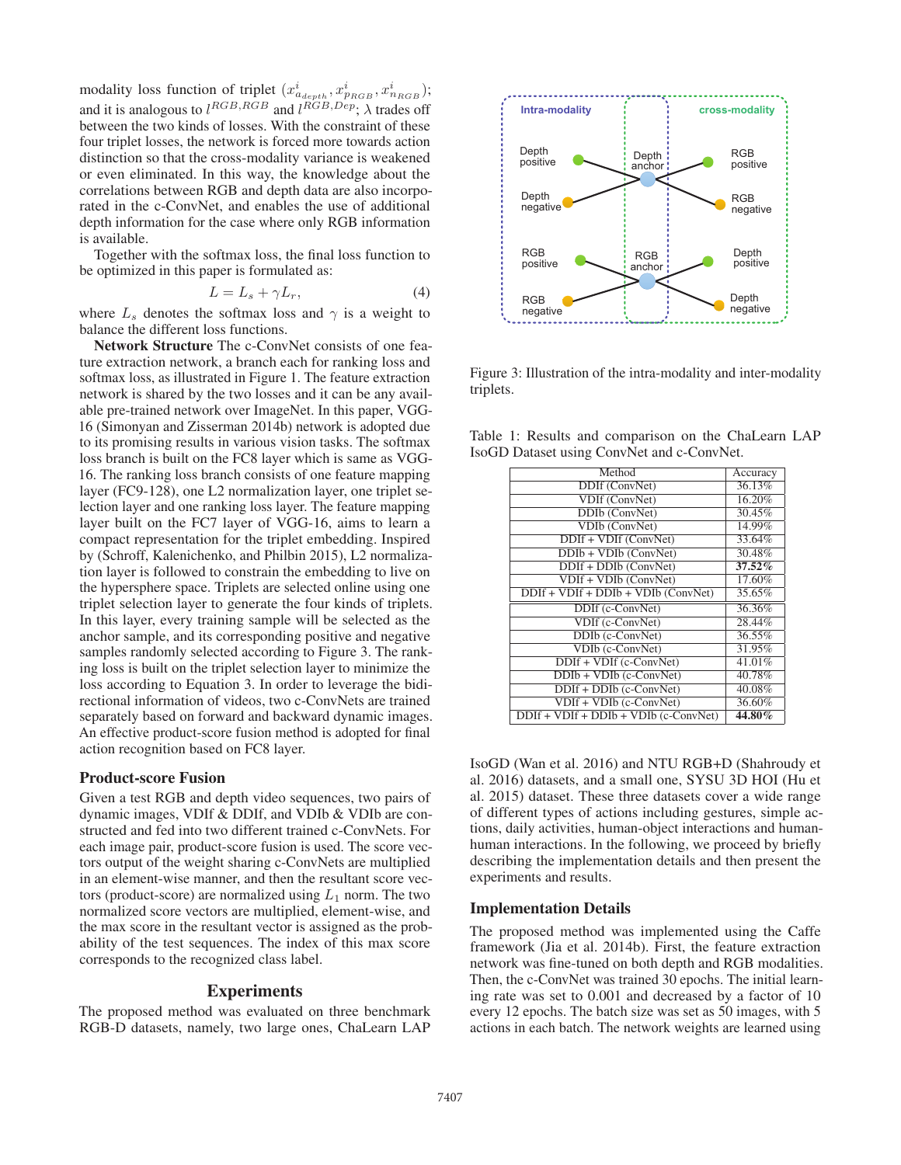modality loss function of triplet  $(x_{a_{depth}}^i, x_{p_{RGB}}^i, x_{n_{RGB}}^i)$ ;<br>and it is analogous to  $l^{RGB,RGB)}$  and  $l^{RGB,Dep}$ ;  $\lambda$  trades off between the two kinds of losses. With the constraint of these four triplet losses, the network is forced more towards action distinction so that the cross-modality variance is weakened or even eliminated. In this way, the knowledge about the correlations between RGB and depth data are also incorporated in the c-ConvNet, and enables the use of additional depth information for the case where only RGB information is available.

Together with the softmax loss, the final loss function to be optimized in this paper is formulated as:

$$
L = L_s + \gamma L_r,\tag{4}
$$

 $L = L_s + \gamma L_r,$  (4)<br>where  $L_s$  denotes the softmax loss and  $\gamma$  is a weight to balance the different loss functions.

Network Structure The c-ConvNet consists of one feature extraction network, a branch each for ranking loss and softmax loss, as illustrated in Figure 1. The feature extraction network is shared by the two losses and it can be any available pre-trained network over ImageNet. In this paper, VGG-16 (Simonyan and Zisserman 2014b) network is adopted due to its promising results in various vision tasks. The softmax loss branch is built on the FC8 layer which is same as VGG-16. The ranking loss branch consists of one feature mapping layer (FC9-128), one L2 normalization layer, one triplet selection layer and one ranking loss layer. The feature mapping layer built on the FC7 layer of VGG-16, aims to learn a compact representation for the triplet embedding. Inspired by (Schroff, Kalenichenko, and Philbin 2015), L2 normalization layer is followed to constrain the embedding to live on the hypersphere space. Triplets are selected online using one triplet selection layer to generate the four kinds of triplets. In this layer, every training sample will be selected as the anchor sample, and its corresponding positive and negative samples randomly selected according to Figure 3. The ranking loss is built on the triplet selection layer to minimize the loss according to Equation 3. In order to leverage the bidirectional information of videos, two c-ConvNets are trained separately based on forward and backward dynamic images. An effective product-score fusion method is adopted for final action recognition based on FC8 layer.

#### Product-score Fusion

Given a test RGB and depth video sequences, two pairs of dynamic images, VDIf & DDIf, and VDIb & VDIb are constructed and fed into two different trained c-ConvNets. For each image pair, product-score fusion is used. The score vectors output of the weight sharing c-ConvNets are multiplied in an element-wise manner, and then the resultant score vectors (product-score) are normalized using  $L_1$  norm. The two normalized score vectors are multiplied, element-wise, and the max score in the resultant vector is assigned as the probability of the test sequences. The index of this max score corresponds to the recognized class label.

### Experiments

The proposed method was evaluated on three benchmark RGB-D datasets, namely, two large ones, ChaLearn LAP



Figure 3: Illustration of the intra-modality and inter-modality triplets.

Table 1: Results and comparison on the ChaLearn LAP IsoGD Dataset using ConvNet and c-ConvNet.

| Accuracy |
|----------|
| 36.13%   |
| 16.20%   |
| 30.45%   |
| 14.99%   |
| 33.64%   |
| 30.48%   |
| 37.52%   |
| 17.60%   |
| 35.65%   |
| 36.36%   |
| 28.44%   |
| 36.55%   |
| 31.95%   |
| 41.01%   |
| 40.78%   |
| 40.08%   |
| 36.60%   |
| 44.80%   |
|          |

IsoGD (Wan et al. 2016) and NTU RGB+D (Shahroudy et al. 2016) datasets, and a small one, SYSU 3D HOI (Hu et al. 2015) dataset. These three datasets cover a wide range of different types of actions including gestures, simple actions, daily activities, human-object interactions and humanhuman interactions. In the following, we proceed by briefly describing the implementation details and then present the experiments and results.

### Implementation Details

The proposed method was implemented using the Caffe framework (Jia et al. 2014b). First, the feature extraction network was fine-tuned on both depth and RGB modalities. Then, the c-ConvNet was trained 30 epochs. The initial learning rate was set to 0.001 and decreased by a factor of 10 every 12 epochs. The batch size was set as 50 images, with 5 actions in each batch. The network weights are learned using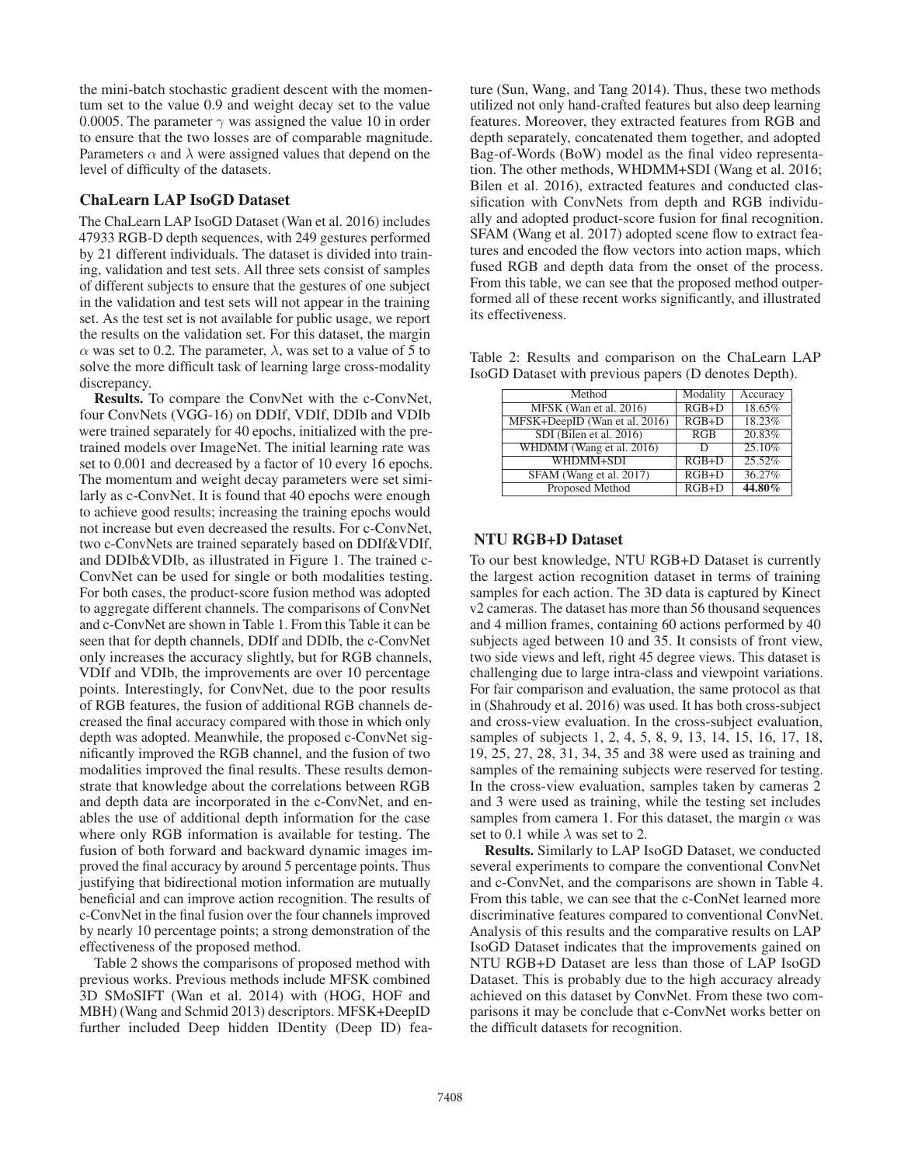the mini-batch stochastic gradient descent with the momentum set to the value 0.9 and weight decay set to the value 0.0005. The parameter  $\gamma$  was assigned the value 10 in order to ensure that the two losses are of comparable magnitude. Parameters  $\alpha$  and  $\lambda$  were assigned values that depend on the level of difficulty of the datasets.

#### ChaLearn LAP IsoGD Dataset

The ChaLearn LAP IsoGD Dataset (Wan et al. 2016) includes 47933 RGB-D depth sequences, with 249 gestures performed by 21 different individuals. The dataset is divided into training, validation and test sets. All three sets consist of samples of different subjects to ensure that the gestures of one subject in the validation and test sets will not appear in the training set. As the test set is not available for public usage, we report the results on the validation set. For this dataset, the margin  $\alpha$  was set to 0.2. The parameter,  $\lambda$ , was set to a value of 5 to solve the more difficult task of learning large cross-modality discrepancy.

Results. To compare the ConvNet with the c-ConvNet, four ConvNets (VGG-16) on DDIf, VDIf, DDIb and VDIb were trained separately for 40 epochs, initialized with the pretrained models over ImageNet. The initial learning rate was set to 0.001 and decreased by a factor of 10 every 16 epochs. The momentum and weight decay parameters were set similarly as c-ConvNet. It is found that 40 epochs were enough to achieve good results; increasing the training epochs would not increase but even decreased the results. For c-ConvNet, two c-ConvNets are trained separately based on DDIf&VDIf, and DDIb&VDIb, as illustrated in Figure 1. The trained c-ConvNet can be used for single or both modalities testing. For both cases, the product-score fusion method was adopted to aggregate different channels. The comparisons of ConvNet and c-ConvNet are shown in Table 1. From this Table it can be seen that for depth channels, DDIf and DDIb, the c-ConvNet only increases the accuracy slightly, but for RGB channels, VDIf and VDIb, the improvements are over 10 percentage points. Interestingly, for ConvNet, due to the poor results of RGB features, the fusion of additional RGB channels decreased the final accuracy compared with those in which only depth was adopted. Meanwhile, the proposed c-ConvNet significantly improved the RGB channel, and the fusion of two modalities improved the final results. These results demonstrate that knowledge about the correlations between RGB and depth data are incorporated in the c-ConvNet, and enables the use of additional depth information for the case where only RGB information is available for testing. The fusion of both forward and backward dynamic images improved the final accuracy by around 5 percentage points. Thus justifying that bidirectional motion information are mutually beneficial and can improve action recognition. The results of c-ConvNet in the final fusion over the four channels improved by nearly 10 percentage points; a strong demonstration of the effectiveness of the proposed method.

Table 2 shows the comparisons of proposed method with previous works. Previous methods include MFSK combined 3D SMoSIFT (Wan et al. 2014) with (HOG, HOF and MBH) (Wang and Schmid 2013) descriptors. MFSK+DeepID further included Deep hidden IDentity (Deep ID) feature (Sun, Wang, and Tang 2014). Thus, these two methods utilized not only hand-crafted features but also deep learning features. Moreover, they extracted features from RGB and depth separately, concatenated them together, and adopted Bag-of-Words (BoW) model as the final video representation. The other methods, WHDMM+SDI (Wang et al. 2016; Bilen et al. 2016), extracted features and conducted classification with ConvNets from depth and RGB individually and adopted product-score fusion for final recognition. SFAM (Wang et al. 2017) adopted scene flow to extract features and encoded the flow vectors into action maps, which fused RGB and depth data from the onset of the process. From this table, we can see that the proposed method outperformed all of these recent works significantly, and illustrated its effectiveness.

Table 2: Results and comparison on the ChaLearn LAP IsoGD Dataset with previous papers (D denotes Depth).

| Method                        | Modality           | Accuracy |
|-------------------------------|--------------------|----------|
| MFSK (Wan et al. 2016)        | $RGB+D$            | 18.65%   |
| MFSK+DeepID (Wan et al. 2016) | $RGB+D$            | 18.23%   |
| SDI (Bilen et al. 2016)       | RGB                | 20.83%   |
| WHDMM (Wang et al. 2016)      | D                  | 25.10%   |
| WHDMM+SDI                     | $RGB+D$            | 25.52%   |
| SFAM (Wang et al. 2017)       | $\overline{RGB+D}$ | 36.27%   |
| Proposed Method               | $RGB+D$            | 44.80%   |

#### NTU RGB+D Dataset

To our best knowledge, NTU RGB+D Dataset is currently the largest action recognition dataset in terms of training samples for each action. The 3D data is captured by Kinect v2 cameras. The dataset has more than 56 thousand sequences and 4 million frames, containing 60 actions performed by 40 subjects aged between 10 and 35. It consists of front view, two side views and left, right 45 degree views. This dataset is challenging due to large intra-class and viewpoint variations. For fair comparison and evaluation, the same protocol as that in (Shahroudy et al. 2016) was used. It has both cross-subject and cross-view evaluation. In the cross-subject evaluation, samples of subjects 1, 2, 4, 5, 8, 9, 13, 14, 15, 16, 17, 18, 19, 25, 27, 28, 31, 34, 35 and 38 were used as training and samples of the remaining subjects were reserved for testing. In the cross-view evaluation, samples taken by cameras 2 and 3 were used as training, while the testing set includes samples from camera 1. For this dataset, the margin  $\alpha$  was set to 0.1 while  $\lambda$  was set to 2.

Results. Similarly to LAP IsoGD Dataset, we conducted several experiments to compare the conventional ConvNet and c-ConvNet, and the comparisons are shown in Table 4. From this table, we can see that the c-ConNet learned more discriminative features compared to conventional ConvNet. Analysis of this results and the comparative results on LAP IsoGD Dataset indicates that the improvements gained on NTU RGB+D Dataset are less than those of LAP IsoGD Dataset. This is probably due to the high accuracy already achieved on this dataset by ConvNet. From these two comparisons it may be conclude that c-ConvNet works better on the difficult datasets for recognition.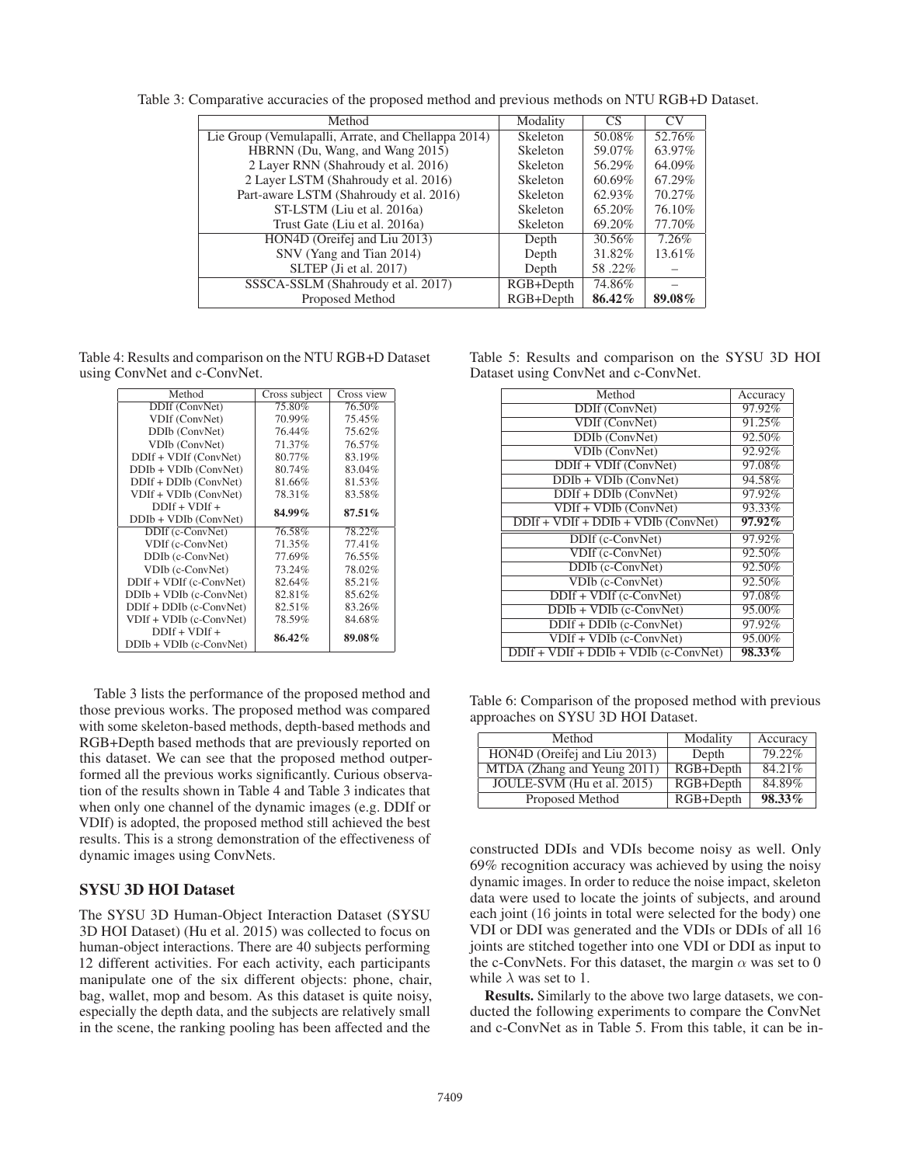| Method                                              | Modality        | CS     | CV.    |
|-----------------------------------------------------|-----------------|--------|--------|
| Lie Group (Vemulapalli, Arrate, and Chellappa 2014) | <b>Skeleton</b> | 50.08% | 52.76% |
| HBRNN (Du, Wang, and Wang 2015)                     | Skeleton        | 59.07% | 63.97% |
| 2 Layer RNN (Shahroudy et al. 2016)                 | Skeleton        | 56.29% | 64.09% |
| 2 Layer LSTM (Shahroudy et al. 2016)                | Skeleton        | 60.69% | 67.29% |
| Part-aware LSTM (Shahroudy et al. 2016)             | Skeleton        | 62.93% | 70.27% |
| ST-LSTM (Liu et al. 2016a)                          | Skeleton        | 65.20% | 76.10% |
| Trust Gate (Liu et al. 2016a)                       | Skeleton        | 69.20% | 77.70% |
| HON4D (Oreifej and Liu 2013)                        | Depth           | 30.56% | 7.26%  |
| SNV (Yang and Tian 2014)                            | Depth           | 31.82% | 13.61% |
| SLTEP (Ji et al. 2017)                              | Depth           | 58.22% |        |
| SSSCA-SSLM (Shahroudy et al. 2017)                  | $RGB+Depth$     | 74.86% |        |
| Proposed Method                                     | RGB+Depth       | 86.42% | 89.08% |

Table 3: Comparative accuracies of the proposed method and previous methods on NTU RGB+D Dataset.

Table 4: Results and comparison on the NTU RGB+D Dataset using ConvNet and c-ConvNet.

| Method                    | Cross subject | Cross view |
|---------------------------|---------------|------------|
| DDIf (ConvNet)            | 75.80%        | 76.50%     |
| VDIf (ConvNet)            | 70.99%        | 75.45%     |
| DDIb (ConvNet)            | 76.44%        | 75.62%     |
| VDIb (ConvNet)            | 71.37%        | 76.57%     |
| DDIf + VDIf (ConvNet)     | 80.77%        | 83.19%     |
| DDIb + VDIb (ConvNet)     | 80.74%        | 83.04%     |
| $DDIf + DDIb (ConvNet)$   | 81.66%        | 81.53%     |
| VDIf + VDIb (ConvNet)     | 78.31%        | 83.58%     |
| $DDIf + VDIf +$           | 84.99%        | $87.51\%$  |
| $DDIb + VDIb$ (ConvNet)   |               |            |
| DDIf (c-ConvNet)          | 76.58%        | 78.22%     |
| VDIf (c-ConvNet)          | 71.35%        | 77.41%     |
| DDIb (c-ConvNet)          | 77.69%        | 76.55%     |
| VDIb (c-ConvNet)          | 73.24%        | 78.02%     |
| DDIf + VDIf (c-ConvNet)   | 82.64%        | 85.21%     |
| $DDIb + VDIb$ (c-ConvNet) | 82.81%        | 85.62%     |
| DDIf + DDIb (c-ConvNet)   | 82.51%        | 83.26%     |
| $VDIf + VDIb$ (c-ConvNet) | 78.59%        | 84.68%     |
| $DDIf + VDIf +$           |               |            |
| $DDIb + VDIb$ (c-ConvNet) | 86.42%        | 89.08%     |

Table 3 lists the performance of the proposed method and those previous works. The proposed method was compared with some skeleton-based methods, depth-based methods and RGB+Depth based methods that are previously reported on this dataset. We can see that the proposed method outperformed all the previous works significantly. Curious observation of the results shown in Table 4 and Table 3 indicates that when only one channel of the dynamic images (e.g. DDIf or VDIf) is adopted, the proposed method still achieved the best results. This is a strong demonstration of the effectiveness of dynamic images using ConvNets.

# SYSU 3D HOI Dataset

The SYSU 3D Human-Object Interaction Dataset (SYSU 3D HOI Dataset) (Hu et al. 2015) was collected to focus on human-object interactions. There are 40 subjects performing 12 different activities. For each activity, each participants manipulate one of the six different objects: phone, chair, bag, wallet, mop and besom. As this dataset is quite noisy, especially the depth data, and the subjects are relatively small in the scene, the ranking pooling has been affected and the

|  |  | Table 5: Results and comparison on the SYSU 3D HOI |  |  |  |
|--|--|----------------------------------------------------|--|--|--|
|  |  | Dataset using ConvNet and c-ConvNet.               |  |  |  |

| Method                                  | Accuracy  |
|-----------------------------------------|-----------|
| DDIf (ConvNet)                          | 97.92%    |
| VDIf (ConvNet)                          | 91.25%    |
| DDIb (ConvNet)                          | 92.50%    |
| <b>VDIb</b> (ConvNet)                   | 92.92%    |
| $DDIf + VDIf (ConvNet)$                 | 97.08%    |
| $DDIb + VDIb$ (ConvNet)                 | 94.58%    |
| $DDIf + DDIb (ConvNet)$                 | 97.92%    |
| $VDIf + VDIb (ConvNet)$                 | 93.33%    |
| $DDIf + VDIf + DDIb + VDIb (ConvNet)$   | $97.92\%$ |
| DDIf (c-ConvNet)                        | 97.92%    |
| VDIf (c-ConvNet)                        | 92.50%    |
| DDIb (c-ConvNet)                        | 92.50%    |
| VDIb (c-ConvNet)                        | 92.50%    |
| $DDIf + VDIf$ (c-ConvNet)               | 97.08%    |
| $DDIb + VDIb$ (c-ConvNet)               | 95.00%    |
| $DDIf + DDIb$ (c-ConvNet)               | 97.92%    |
| $VDIf + VDIb$ (c-ConvNet)               | 95.00%    |
| $DDIf + VDIf + DDIb + VDIb$ (c-ConvNet) | 98.33%    |

Table 6: Comparison of the proposed method with previous approaches on SYSU 3D HOI Dataset.

| Method                       | Modality    | Accuracy |
|------------------------------|-------------|----------|
| HON4D (Oreifej and Liu 2013) | Depth       | 79.22%   |
| MTDA (Zhang and Yeung 2011)  | $RGB+Depth$ | 84.21%   |
| JOULE-SVM (Hu et al. 2015)   | $RGB+Depth$ | 84.89%   |
| Proposed Method              | $RGB+Depth$ | 98.33%   |

constructed DDIs and VDIs become noisy as well. Only 69% recognition accuracy was achieved by using the noisy dynamic images. In order to reduce the noise impact, skeleton data were used to locate the joints of subjects, and around each joint (16 joints in total were selected for the body) one VDI or DDI was generated and the VDIs or DDIs of all 16 joints are stitched together into one VDI or DDI as input to the c-ConvNets. For this dataset, the margin  $\alpha$  was set to 0 while  $\lambda$  was set to 1.

Results. Similarly to the above two large datasets, we conducted the following experiments to compare the ConvNet and c-ConvNet as in Table 5. From this table, it can be in-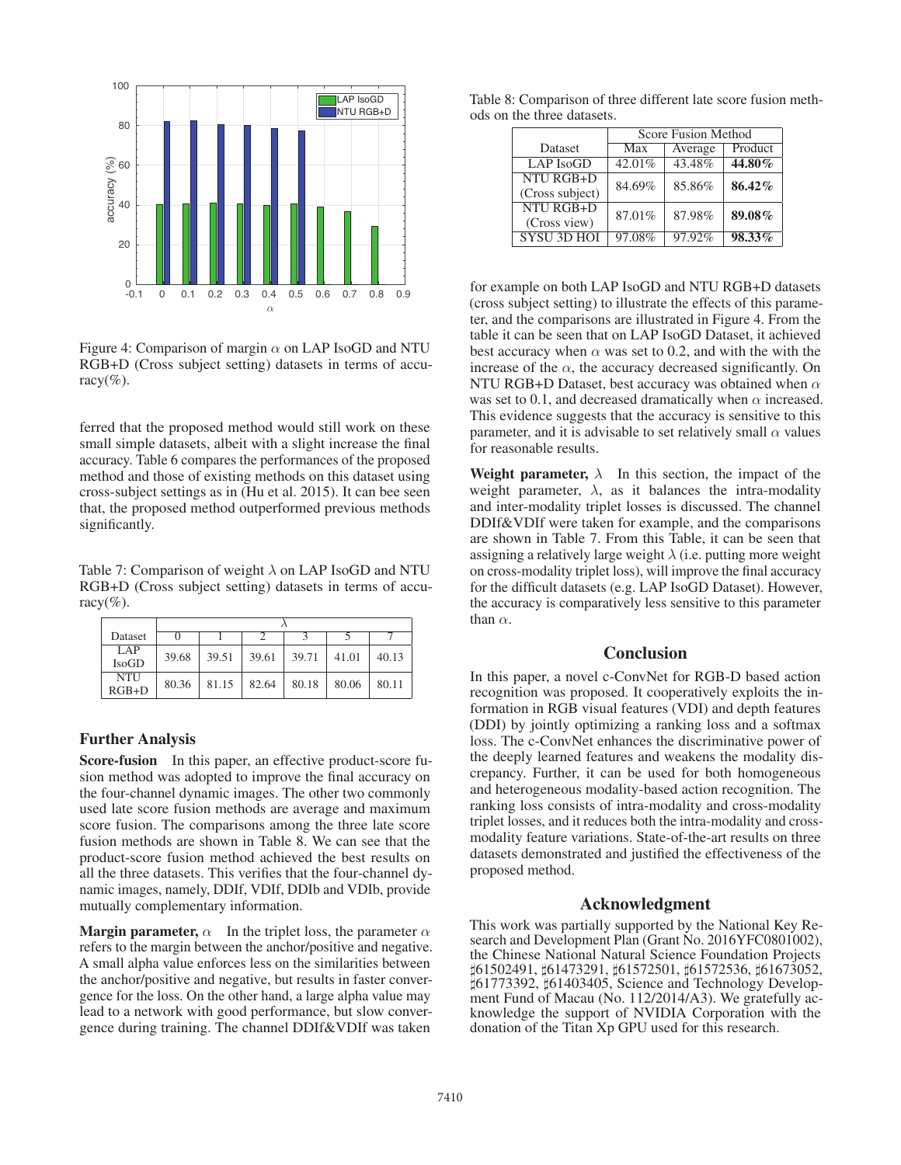

Figure 4: Comparison of margin  $\alpha$  on LAP IsoGD and NTU RGB+D (Cross subject setting) datasets in terms of accuracy $(\%).$ 

ferred that the proposed method would still work on these small simple datasets, albeit with a slight increase the final accuracy. Table 6 compares the performances of the proposed method and those of existing methods on this dataset using cross-subject settings as in (Hu et al. 2015). It can bee seen that, the proposed method outperformed previous methods significantly.

Table 7: Comparison of weight  $\lambda$  on LAP IsoGD and NTU RGB+D (Cross subject setting) datasets in terms of accuracy $(\% )$ .

| Dataset               |       |       |       |       |       |       |
|-----------------------|-------|-------|-------|-------|-------|-------|
| LAP<br><b>IsoGD</b>   | 39.68 | 39.51 | 39.61 | 39.71 | 41.01 | 40.13 |
| <b>NTU</b><br>$RGB+D$ | 80.36 | 81.15 | 82.64 | 80.18 | 80.06 | 80.11 |

# Further Analysis

Score-fusion In this paper, an effective product-score fusion method was adopted to improve the final accuracy on the four-channel dynamic images. The other two commonly used late score fusion methods are average and maximum score fusion. The comparisons among the three late score fusion methods are shown in Table 8. We can see that the product-score fusion method achieved the best results on all the three datasets. This verifies that the four-channel dynamic images, namely, DDIf, VDIf, DDIb and VDIb, provide mutually complementary information.

**Margin parameter,**  $\alpha$  In the triplet loss, the parameter  $\alpha$ refers to the margin between the anchor/positive and negative. A small alpha value enforces less on the similarities between the anchor/positive and negative, but results in faster convergence for the loss. On the other hand, a large alpha value may lead to a network with good performance, but slow convergence during training. The channel DDIf&VDIf was taken

Table 8: Comparison of three different late score fusion methods on the three datasets.

|                                    | Score Fusion Method |         |         |  |  |
|------------------------------------|---------------------|---------|---------|--|--|
| Dataset                            | Max                 | Average | Product |  |  |
| <b>LAP</b> IsoGD                   | 42.01%              | 43.48%  | 44.80%  |  |  |
| NTU RGB+D<br>(Cross subject)       | 84.69%              | 85.86%  | 86.42%  |  |  |
| <b>NTU RGB+D</b>                   | 87.01%              | 87.98%  | 89.08%  |  |  |
| (Cross view)<br><b>SYSU 3D HOL</b> | 97.08%              | 97.92%  | 98.33%  |  |  |

for example on both LAP IsoGD and NTU RGB+D datasets (cross subject setting) to illustrate the effects of this parameter, and the comparisons are illustrated in Figure 4. From the table it can be seen that on LAP IsoGD Dataset, it achieved best accuracy when  $\alpha$  was set to 0.2, and with the with the increase of the  $\alpha$ , the accuracy decreased significantly. On NTU RGB+D Dataset, best accuracy was obtained when  $\alpha$ was set to 0.1, and decreased dramatically when  $\alpha$  increased. This evidence suggests that the accuracy is sensitive to this parameter, and it is advisable to set relatively small  $\alpha$  values for reasonable results.

Weight parameter,  $\lambda$  In this section, the impact of the weight parameter,  $\lambda$ , as it balances the intra-modality and inter-modality triplet losses is discussed. The channel DDIf&VDIf were taken for example, and the comparisons are shown in Table 7. From this Table, it can be seen that assigning a relatively large weight  $\lambda$  (i.e. putting more weight on cross-modality triplet loss), will improve the final accuracy for the difficult datasets (e.g. LAP IsoGD Dataset). However, the accuracy is comparatively less sensitive to this parameter than  $\alpha$ .

# **Conclusion**

In this paper, a novel c-ConvNet for RGB-D based action recognition was proposed. It cooperatively exploits the information in RGB visual features (VDI) and depth features (DDI) by jointly optimizing a ranking loss and a softmax loss. The c-ConvNet enhances the discriminative power of the deeply learned features and weakens the modality discrepancy. Further, it can be used for both homogeneous and heterogeneous modality-based action recognition. The ranking loss consists of intra-modality and cross-modality triplet losses, and it reduces both the intra-modality and crossmodality feature variations. State-of-the-art results on three datasets demonstrated and justified the effectiveness of the proposed method.

## Acknowledgment

This work was partially supported by the National Key Research and Development Plan (Grant No. 2016YFC0801002), the Chinese National Natural Science Foundation Projects 61502491, 61473291, 61572501, 61572536, 61673052, 61773392, 61403405, Science and Technology Development Fund of Macau (No. 112/2014/A3). We gratefully acknowledge the support of NVIDIA Corporation with the donation of the Titan Xp GPU used for this research.